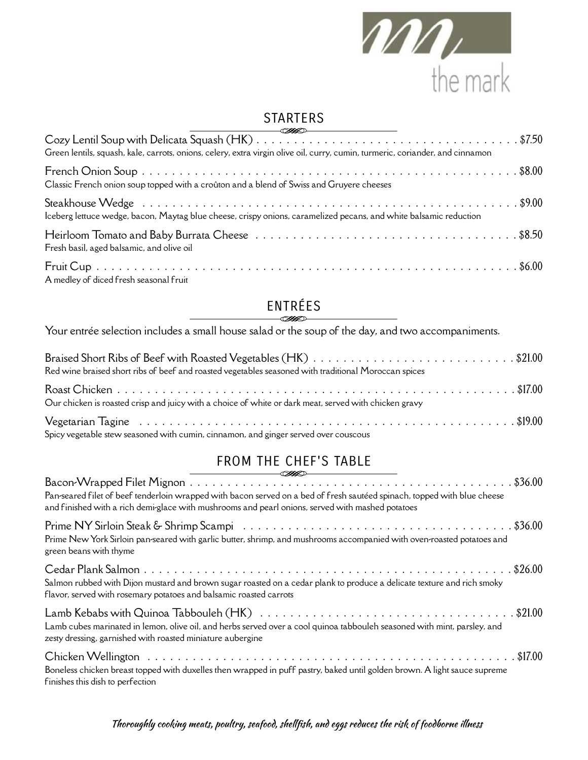

#### STARTERS

| Green lentils, squash, kale, carrots, onions, celery, extra virgin olive oil, curry, cumin, turmeric, coriander, and cinnamon |
|-------------------------------------------------------------------------------------------------------------------------------|
| Classic French onion soup topped with a croûton and a blend of Swiss and Gruyere cheeses                                      |
| Iceberg lettuce wedge, bacon, Maytag blue cheese, crispy onions, caramelized pecans, and white balsamic reduction             |
| Fresh basil, aged balsamic, and olive oil                                                                                     |
| A medley of diced fresh seasonal fruit                                                                                        |

### ENTRÉES

Your entrée selection includes a small house salad or the soup of the day, and two accompaniments.

| Braised Short Ribs of Beef with Roasted Vegetables (HK) \$21.00<br>Red wine braised short ribs of beef and roasted vegetables seasoned with traditional Moroccan spices |  |
|-------------------------------------------------------------------------------------------------------------------------------------------------------------------------|--|
| Our chicken is roasted crisp and juicy with a choice of white or dark meat, served with chicken gravy                                                                   |  |
| Spicy vegetable stew seasoned with cumin, cinnamon, and ginger served over couscous                                                                                     |  |

#### FROM THE CHEF'S TABLE

| <u>same</u><br>Pan-seared filet of beef tenderloin wrapped with bacon served on a bed of fresh sautéed spinach, topped with blue cheese<br>and finished with a rich demi-glace with mushrooms and pearl onions, served with mashed potatoes |  |
|---------------------------------------------------------------------------------------------------------------------------------------------------------------------------------------------------------------------------------------------|--|
| Prime New York Sirloin pan-seared with garlic butter, shrimp, and mushrooms accompanied with oven-roasted potatoes and<br>green beans with thyme                                                                                            |  |
| Salmon rubbed with Dijon mustard and brown sugar roasted on a cedar plank to produce a delicate texture and rich smoky<br>flavor, served with rosemary potatoes and balsamic roasted carrots                                                |  |
| Lamb cubes marinated in lemon, olive oil, and herbs served over a cool quinoa tabbouleh seasoned with mint, parsley, and<br>zesty dressing, garnished with roasted miniature aubergine                                                      |  |
| Boneless chicken breast topped with duxelles then wrapped in puff pastry, baked until golden brown. A light sauce supreme<br>finishes this dish to perfection                                                                               |  |

Thoroughly cooking meats, poultry, seafood, shellfish, and eggs reduces the risk of foodborne illness